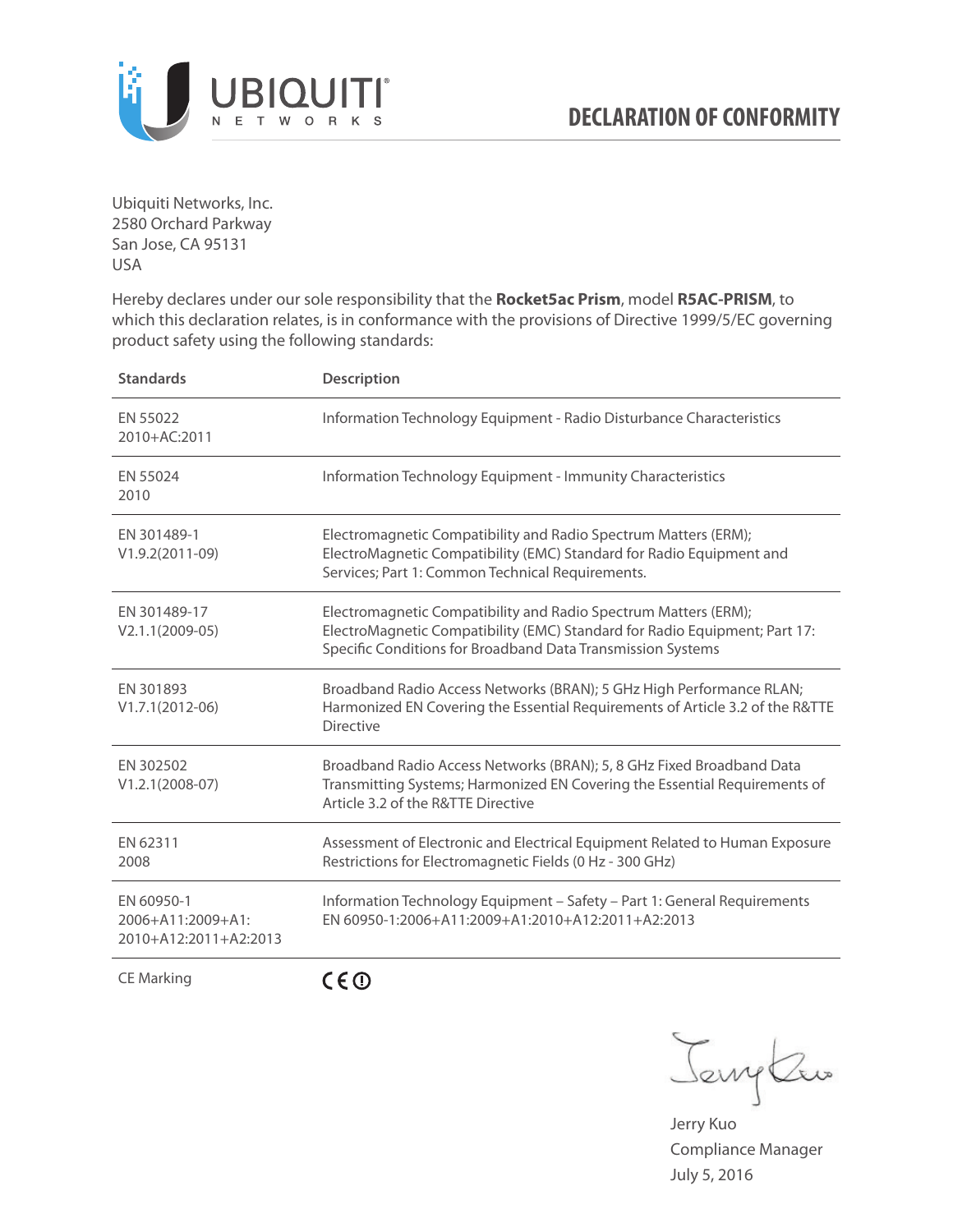

Ubiquiti Networks, Inc. 2580 Orchard Parkway San Jose, CA 95131 USA

Hereby declares under our sole responsibility that the **Rocket5ac Prism**, model **R5AC-PRISM**, to which this declaration relates, is in conformance with the provisions of Directive 1999/5/EC governing product safety using the following standards:

| <b>Standards</b>                                         | <b>Description</b>                                                                                                                                                                                           |
|----------------------------------------------------------|--------------------------------------------------------------------------------------------------------------------------------------------------------------------------------------------------------------|
| EN 55022<br>2010+AC:2011                                 | Information Technology Equipment - Radio Disturbance Characteristics                                                                                                                                         |
| EN 55024<br>2010                                         | Information Technology Equipment - Immunity Characteristics                                                                                                                                                  |
| EN 301489-1<br>$V1.9.2(2011-09)$                         | Electromagnetic Compatibility and Radio Spectrum Matters (ERM);<br>ElectroMagnetic Compatibility (EMC) Standard for Radio Equipment and<br>Services; Part 1: Common Technical Requirements.                  |
| EN 301489-17<br>$V2.1.1(2009-05)$                        | Electromagnetic Compatibility and Radio Spectrum Matters (ERM);<br>ElectroMagnetic Compatibility (EMC) Standard for Radio Equipment; Part 17:<br>Specific Conditions for Broadband Data Transmission Systems |
| EN 301893<br>$V1.7.1(2012-06)$                           | Broadband Radio Access Networks (BRAN); 5 GHz High Performance RLAN;<br>Harmonized EN Covering the Essential Requirements of Article 3.2 of the R&TTE<br><b>Directive</b>                                    |
| EN 302502<br>$V1.2.1(2008-07)$                           | Broadband Radio Access Networks (BRAN); 5, 8 GHz Fixed Broadband Data<br>Transmitting Systems; Harmonized EN Covering the Essential Requirements of<br>Article 3.2 of the R&TTE Directive                    |
| EN 62311<br>2008                                         | Assessment of Electronic and Electrical Equipment Related to Human Exposure<br>Restrictions for Electromagnetic Fields (0 Hz - 300 GHz)                                                                      |
| EN 60950-1<br>2006+A11:2009+A1:<br>2010+A12:2011+A2:2013 | Information Technology Equipment - Safety - Part 1: General Requirements<br>EN 60950-1:2006+A11:2009+A1:2010+A12:2011+A2:2013                                                                                |
|                                                          |                                                                                                                                                                                                              |

CE Marking

CEO

Jenythe

Jerry Kuo Compliance Manager July 5, 2016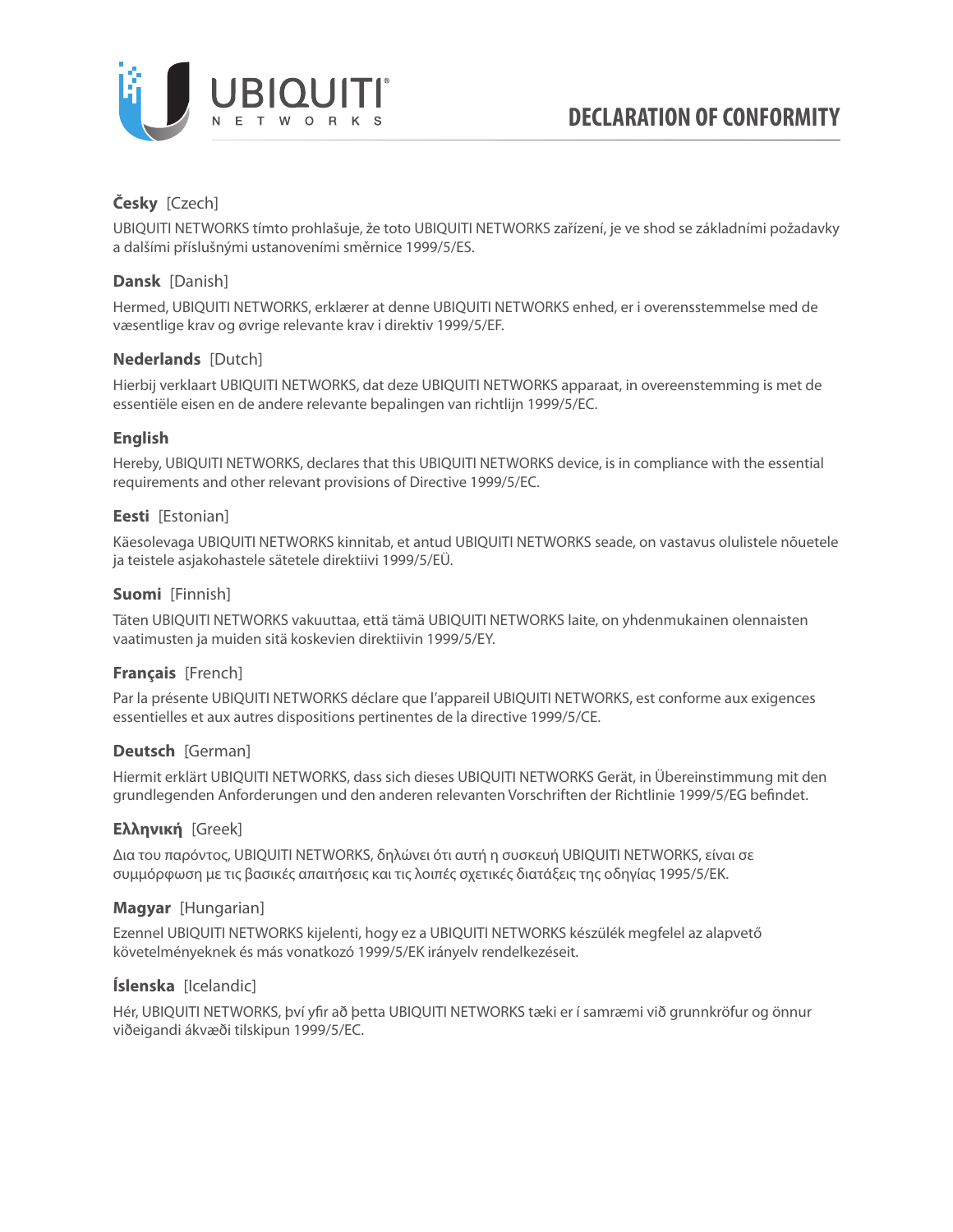

# **Česky** [Czech]

UBIQUITI NETWORKS tímto prohlašuje, že toto UBIQUITI NETWORKS zařízení, je ve shod se základními požadavky a dalšími příslušnými ustanoveními směrnice 1999/5/ES.

## **Dansk** [Danish]

Hermed, UBIQUITI NETWORKS, erklærer at denne UBIQUITI NETWORKS enhed, er i overensstemmelse med de væsentlige krav og øvrige relevante krav i direktiv 1999/5/EF.

## **Nederlands** [Dutch]

Hierbij verklaart UBIQUITI NETWORKS, dat deze UBIQUITI NETWORKS apparaat, in overeenstemming is met de essentiële eisen en de andere relevante bepalingen van richtlijn 1999/5/EC.

## **English**

Hereby, UBIQUITI NETWORKS, declares that this UBIQUITI NETWORKS device, is in compliance with the essential requirements and other relevant provisions of Directive 1999/5/EC.

## **Eesti** [Estonian]

Käesolevaga UBIQUITI NETWORKS kinnitab, et antud UBIQUITI NETWORKS seade, on vastavus olulistele nõuetele ja teistele asjakohastele sätetele direktiivi 1999/5/EÜ.

## **Suomi** [Finnish]

Täten UBIQUITI NETWORKS vakuuttaa, että tämä UBIQUITI NETWORKS laite, on yhdenmukainen olennaisten vaatimusten ja muiden sitä koskevien direktiivin 1999/5/EY.

## **Français** [French]

Par la présente UBIQUITI NETWORKS déclare que l'appareil UBIQUITI NETWORKS, est conforme aux exigences essentielles et aux autres dispositions pertinentes de la directive 1999/5/CE.

## **Deutsch** [German]

Hiermit erklärt UBIQUITI NETWORKS, dass sich dieses UBIQUITI NETWORKS Gerät, in Übereinstimmung mit den grundlegenden Anforderungen und den anderen relevanten Vorschriften der Richtlinie 1999/5/EG befindet.

## **Ελληνική** [Greek]

Δια του παρόντος, UBIQUITI NETWORKS, δηλώνει ότι αυτή η συσκευή UBIQUITI NETWORKS, είναι σε συμμόρφωση με τις βασικές απαιτήσεις και τις λοιπές σχετικές διατάξεις της οδηγίας 1995/5/ΕΚ.

## **Magyar** [Hungarian]

Ezennel UBIQUITI NETWORKS kijelenti, hogy ez a UBIQUITI NETWORKS készülék megfelel az alapvető követelményeknek és más vonatkozó 1999/5/EK irányelv rendelkezéseit.

## **Íslenska** [Icelandic]

Hér, UBIQUITI NETWORKS, því yfir að þetta UBIQUITI NETWORKS tæki er í samræmi við grunnkröfur og önnur viðeigandi ákvæði tilskipun 1999/5/EC.